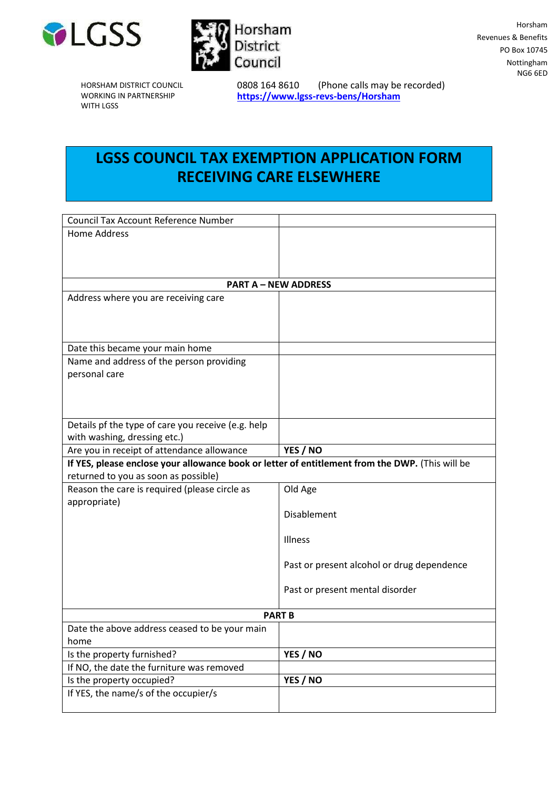



HORSHAM DISTRICT COUNCIL WORKING IN PARTNERSHIP WITH LGSS

0808 164 8610 (Phone calls may be recorded) **<https://www.lgss-revs-bens/Horsham>**

## **LGSS COUNCIL TAX EXEMPTION APPLICATION FORM RECEIVING CARE ELSEWHERE**

| <b>Council Tax Account Reference Number</b>                                                     |                                            |  |
|-------------------------------------------------------------------------------------------------|--------------------------------------------|--|
| <b>Home Address</b>                                                                             |                                            |  |
|                                                                                                 |                                            |  |
|                                                                                                 |                                            |  |
|                                                                                                 |                                            |  |
| <b>PART A - NEW ADDRESS</b>                                                                     |                                            |  |
| Address where you are receiving care                                                            |                                            |  |
|                                                                                                 |                                            |  |
|                                                                                                 |                                            |  |
| Date this became your main home                                                                 |                                            |  |
| Name and address of the person providing                                                        |                                            |  |
| personal care                                                                                   |                                            |  |
|                                                                                                 |                                            |  |
|                                                                                                 |                                            |  |
|                                                                                                 |                                            |  |
| Details pf the type of care you receive (e.g. help                                              |                                            |  |
| with washing, dressing etc.)                                                                    |                                            |  |
| Are you in receipt of attendance allowance                                                      | YES / NO                                   |  |
| If YES, please enclose your allowance book or letter of entitlement from the DWP. (This will be |                                            |  |
| returned to you as soon as possible)                                                            |                                            |  |
| Reason the care is required (please circle as                                                   | Old Age                                    |  |
| appropriate)                                                                                    |                                            |  |
|                                                                                                 | Disablement                                |  |
|                                                                                                 | Illness                                    |  |
|                                                                                                 |                                            |  |
|                                                                                                 | Past or present alcohol or drug dependence |  |
|                                                                                                 |                                            |  |
|                                                                                                 | Past or present mental disorder            |  |
|                                                                                                 |                                            |  |
| <b>PART B</b>                                                                                   |                                            |  |
| Date the above address ceased to be your main                                                   |                                            |  |
| home                                                                                            |                                            |  |
| Is the property furnished?                                                                      | YES / NO                                   |  |
| If NO, the date the furniture was removed                                                       |                                            |  |
| Is the property occupied?                                                                       | YES / NO                                   |  |
| If YES, the name/s of the occupier/s                                                            |                                            |  |
|                                                                                                 |                                            |  |